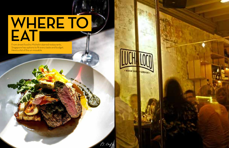# **WHERE TO EAT**

From street food to Michelin-starred restaurants, Singapore has options to fit every taste and budget. Here's a list of the un-missable



PS. Con

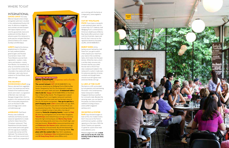# INTERNATIONAL

**LUCHA LOCO** This lively Mexican taqueria (taco shop) and garden patio bar is located in the cobblestoned Duxton Hill area. Its delicious margaritas and cocktails are best enjoyed with tapas staples such as ceviche, guacamole, tacos and pulled pork tortillas. Book in advance, given this restaurant is quite popular and gets filled fast. *(www.luchaloco.com; closed Sundays and Mondays)*

**LUKE'S** Head to this famous establishment in Chinatown for tasty seafood platters, great burgers and the best tuna tartare in town. Chef Travis Masiero sources fresh ingredients—oysters, crabs, clams and lobsters—mainly from Boston, his hometown, to whip up innovative dishes. End your meal with the outstanding chocolate-chip cookie with stout milkshake. Luke's also has an outpost on Orchard Road. *(www. lukes.com.sg)*

### THE DEMPSEY **COOKHOUSE & BAR Using**

**PUCK** If you have a craving for a well-prepared steak, look no further than CUT. Celebrity chef Wolfgang Puck's contemporary American steakhouse at Marina Bay Sands offers premium meat cuts from Australia, Japan and the US. Don't miss out on the signature Valrohna chocolate soufflé. *(00 65 6688 8517)*

### **BURNT ENDS At this**

flavours derived from vegetable juices, fruit essences and herbs, instead of the traditional meat stocks and cream, is a signature of Michelin-star chef Jean-Georges Vongerichten. And it is evident in this restaurant as well, with immaculate preparations such as the black truffle pizza and egg caviar. *(www. comodempsey.sg)*

### **ANGELENO** Chef David

Almany uses traditional methods and freshly sourced seasonal ingredients to create authentic Italian fare at this Chinatown restaurant. Their Napoletana (tomato-based) sauce tastes particularly good with the signature meatballs, mussels alla scampi and the flatbread. The restaurant also offers a set three-course lunch menu—worth a try especially if



**BAR** Enjoy the best burgers in town at this chic modern bistro. Don't miss out on the French and American oysters, another signature on the menu. With the Sands Theatre just opposite, it's great for a post-show meal. *(www.dbbistro.com)* 

you're dining with the family or a large party. *(www.angeleno. com.sg)*

### CUT BY WOLFGANG

barbecue joint helmed by chef Dave Pynt, you get to watch chefs prepare your meal from your seat on the countertop table, which looks into the open kitchen. While the menu, which is written daily, ensures only the best reaches your plate, the star dish is the 10-hour slow-cooked pork baked in the restaurant's custom-made oven. An extensive selection of wines, cocktails and draught beers should round off a great meal. *(www.burntends.com.sg)*

**The current hotspot: CUT** (00 65 6688 8517), the American steakhouse by Wolfgang Puck at Marina Bay Sands. Designed by Toni Chi, the restaurant's modern interiors are super-sleek and warm. **A restaurant with a view to die for: Spago** (00 65 6688 9955) on the 52nd floor of Marina Bay Sands. This Singaporean outpost of Wolfgang Puck's Los Angeles restaurant overlooks the infinity pool of the hotel and has the best views of the city, the skyline and gardens. **Your go-to spot for a post-shopping meal: Luke's** (www.lukes.com.sg). Both, the one on 22 Gemmil Lane and on Orchard Road, are my absolute favourites. They have an amazing ambience and it is a delight to drop in here after a fun day of shopping. **Favourite shopping haunts:** I swear by **Club 21** (www.sg.club21global.com) at the Hilton Singapore. **Takashimaya** (www.takashimaya.com.sg) is one of my favourite high-end boutiques and **Marina Bay Sands**  (www.marinabaysands.com) has a mix of both high- and mid-level brands. **Wisma Atria** (www.wismaonline.com) and **Robinsons the Heeren** (www. robinsons.com.sg) has a selection of local brands. My all-time favourite is **Orchard Road**, one of Asia's best shopping streets. **The place with the coolest vibe:** New York's speakeasy cocktail bar, **Employees Only** (employeesonlysg.com) and **28 Hong Kong Street** (www.28hks.com).

### IL LIDO AT THE CLIFF

Perched on a cliff, surrounded by lush greenery and overlooking the ocean—this contemporary Italian restaurant in Sofitel Singapore Sentosa is perfect for a romantic date. Besides the amazing views, you can feast on the pastas, burratas and fresh seafood including octopus. *(www.sofitel-singaporesentosa.com)*

### DB BISTRO & OYSTER

# WHERE TO EAT

# INSIDER TIPS ON HOTSPOTS

RENU CHAINANI Entrepreneur and co-founder, Eastern Treasure Lifestyle



Previous pages from left: **a steak dish served at the PS. Cafe; the buzzing crowd at Mexican diner, Lucha Loco**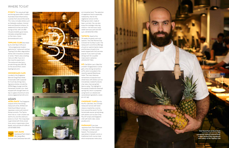**FYNN'S** This casual yet highend dining space offers modern Australian food influenced by cuisines from around the world. The menu includes dishes such as Hokkaido scallops, charred lamb and Spanish octopus. Its weekend brunches are worth trying out too, with a truffleinfused omelette, grain bowls, hotcakes and grilled meats on the menu. *(www. fynnsrestaurant.com)*

**TIPPLING CLUB** Described

by its chef, Ryan Clift as an "ultra-progressive modern gastronomy" restaurant and bar, Tippling Club offers degustation dishes with innovative cocktails or wines. There's also a tasting menu on offer if you're in the mood to experiment. The restaurant also has a private dining area, BIN 38, on the second floor. *(www. tipplingclub.com)*

**AKIRA BACK** The Singapore outpost of this fine-dining restaurant at the JW Marriott Hotel South Beach serves Japanese cuisine with distinct Korean accents. The Tajima short ribs or Ji-dori chicken are worth a try, but the cold tuna pizza is a must. The crispy base is garnished with thinly sliced tuna, ponzu mayonnaise, shiso leaves, and a drizzle of truffle oil. *(00 65 6818 1914)* 

### CROSSROADS CAFE

Located in the Singapore Marriott Tang Plaza Hotel, Crossroads Cafe is popular for its all-day dining menu. Signature dishes include the 100% Wagyu burger and the Hainanese chicken rice—best enjoyed with draught beers on tap or a glass of premium wine. *(www.singaporemarriott.com)*

# ASIAN

**PÓ** Chef Willin Low's 'Mod Sin' (modern Singaporean) cuisine gets a fine-dining reinvention at Pó, which is located in the recently opened Warehouse Hotel. The menu features reinventions of popular local street food, with dishes such as innovatively created Kurobuta char siew, charcoal-grilled Iberico satay. The highlight is the popiah (traditional steamed spring roll), which is prepared using hand-cut, stewed and caramelised ingredients. *(www. po.com.sg)* 

### **CHOPSUEY CAFE Run by**

### **EDITOR'S**  MIN JIANG

### **NADAMAN** If you love Japanese food, then Nadaman

**PICK** Goodwood Park Hotel's Min Jiang offers Sichuan and Cantonese fare with





an innovative twist. The selection of vegetarian food is especially noteworthy. Ask for the vegetarian version of the Peking duck dish, made of bean-curd skin. You can also enjoy the nostalgia-inducing classics—hot-and-sour soup, sweet-and-sour pork and dim sum. *(00 65 6730 1704)*

### **TATSUYA** Head to this

24-seater for great sushi and sashimi. The chef, Ronnie Chia is known for his Aburi sushi. The restaurant's lunchtime offerings of sushi or sashimi bento meals, and the bara chirashi (rice bowls topped with fish) are also popular. If you want a private dining room for a quieter meal, book in advance. *(00 65 6737 7411)*

the PS. Cafe folks, this Chinese restaurant serves well-loved classics inspired by cuisines from around the world. Try the homemade sauces served along with dishes such as San Choy Pau DIY wraps and Singapore chilli soft-shell crabs. *(www. pscafe.com)*

in Shangri-La Hotel is pure heaven. The restaurant specialises in kaiseki cuisine, a traditional multi-course meal, which emphasises meticulous



# WHERE TO EAT

**Chef David Pynt at Burnt Ends**  Opposite page from top: **the countertop seating at Burnt Ends; a shelf stocked with ingredients and cutlery at the Tippling Club**